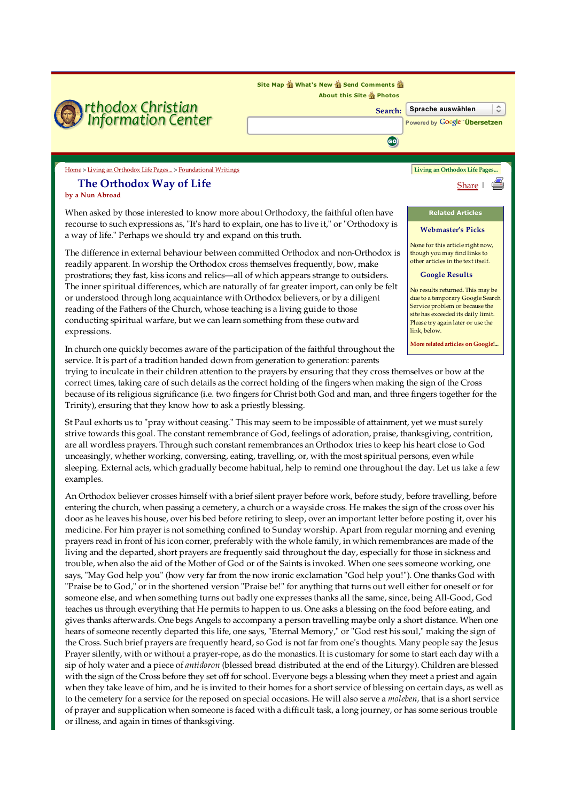

due to a temporary Google Search Service problem or because the site has exceeded its daily limit. Please try again later or use the link, below. The inner spiritual differences, which are naturally of far greater import, can only be felt or understood through long acquaintance with Orthodox believers, or by a diligent reading of the Fathers of the Church, whose teaching is a living guide to those conducting spiritual warfare, but we can learn something from these outward

More related articles on Google!...

## In church one quickly becomes aware of the participation of the faithful throughout the service. It is part of a tradition handed down from generation to generation: parents

expressions.

trying to inculcate in their children attention to the prayers by ensuring that they cross themselves or bow at the correct times, taking care of such details as the correct holding of the fingers when making the sign of the Cross because of its religious significance (i.e. two fingers for Christ both God and man, and three fingers together for the Trinity), ensuring that they know how to ask a priestly blessing.

St Paul exhorts us to "pray without ceasing." This may seem to be impossible of attainment, yet we must surely strive towards this goal. The constant remembrance of God, feelings of adoration, praise, thanksgiving, contrition, are all wordless prayers. Through such constant remembrances an Orthodox tries to keep his heart close to God unceasingly, whether working, conversing, eating, travelling, or, with the most spiritual persons, even while sleeping. External acts, which gradually become habitual, help to remind one throughout the day. Let us take a few examples.

An Orthodox believer crosses himself with a brief silent prayer before work, before study, before travelling, before entering the church, when passing a cemetery, a church or a wayside cross. He makes the sign of the cross over his door as he leaves his house, over his bed before retiring to sleep, over an important letter before posting it, over his medicine. For him prayer is not something confined to Sunday worship. Apart from regular morning and evening prayers read in front of his icon corner, preferably with the whole family, in which remembrances are made of the living and the departed, short prayers are frequently said throughout the day, especially for those in sickness and trouble, when also the aid of the Mother of God or of the Saints is invoked. When one sees someone working, one says, "May God help you" (how very far from the now ironic exclamation "God help you!"). One thanks God with "Praise be to God," or in the shortened version "Praise be!" for anything that turns out well either for oneself or for someone else, and when something turns out badly one expresses thanks all the same, since, being All-Good, God teaches us through everything that He permits to happen to us. One asks a blessing on the food before eating, and gives thanks afterwards. One begs Angels to accompany a person travelling maybe only a short distance. When one hears of someone recently departed this life, one says, "Eternal Memory," or "God rest his soul," making the sign of the Cross. Such brief prayers are frequently heard, so God is not far from one's thoughts. Many people say the Jesus Prayer silently, with or without a prayer-rope, as do the monastics. It is customary for some to start each day with a sip of holy water and a piece of *antidoron* (blessed bread distributed at the end of the Liturgy). Children are blessed with the sign of the Cross before they set off for school. Everyone begs a blessing when they meet a priest and again when they take leave of him, and he is invited to their homes for a short service of blessing on certain days, as well as to the cemetery for a service for the reposed on special occasions. He will also serve a *moleben*, that is a short service of prayer and supplication when someone is faced with a difficult task, a long journey, or has some serious trouble or illness, and again in times of thanksgiving.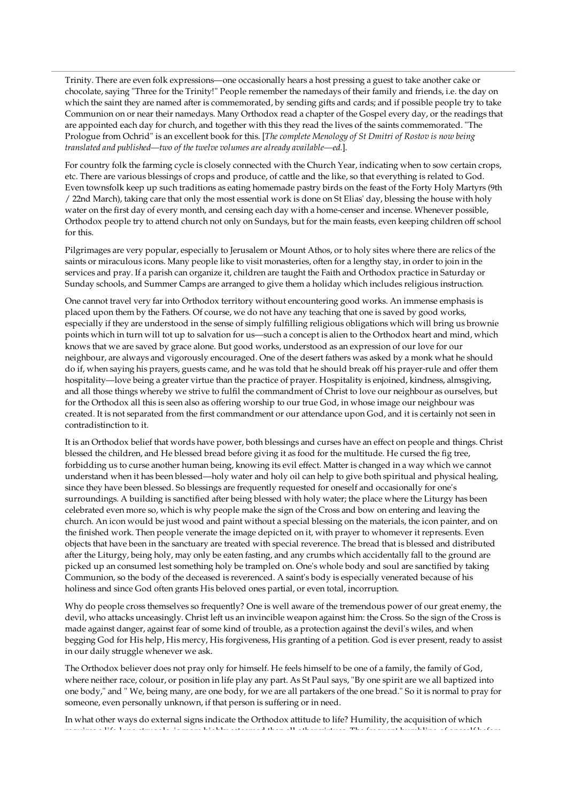Trinity. There are even folk expressions—one occasionally hears a host pressing a guest to take another cake or chocolate, saying "Three for the Trinity!" People remember the namedays of their family and friends, i.e. the day on which the saint they are named after is commemorated, by sending gifts and cards; and if possible people try to take Communion on or near their namedays. Many Orthodox read a chapter of the Gospel every day, or the readings that are appointed each day for church, and together with this they read the lives of the saints commemorated. "The Prologue from Ochrid" is an excellent book for this. [The complete Menology of St Dmitri of Rostov is now being translated and published—two of the twelve volumes are already available—ed.].

For country folk the farming cycle is closely connected with the Church Year, indicating when to sow certain crops, etc. There are various blessings of crops and produce, of cattle and the like, so that everything is related to God. Even townsfolk keep up such traditions as eating homemade pastry birds on the feast of the Forty Holy Martyrs (9th / 22nd March), taking care that only the most essential work is done on St Elias' day, blessing the house with holy water on the first day of every month, and censing each day with a home-censer and incense. Whenever possible, Orthodox people try to attend church not only on Sundays, but for the main feasts, even keeping children off school for this.

Pilgrimages are very popular, especially to Jerusalem or Mount Athos, or to holy sites where there are relics of the saints or miraculous icons. Many people like to visit monasteries, often for a lengthy stay, in order to join in the services and pray. If a parish can organize it, children are taught the Faith and Orthodox practice in Saturday or Sunday schools, and Summer Camps are arranged to give them a holiday which includes religious instruction.

One cannot travel very far into Orthodox territory without encountering good works. An immense emphasis is placed upon them by the Fathers. Of course, we do not have any teaching that one is saved by good works, especially if they are understood in the sense of simply fulfilling religious obligations which will bring us brownie points which in turn will tot up to salvation for us—such a concept is alien to the Orthodox heart and mind, which knows that we are saved by grace alone. But good works, understood as an expression of our love for our neighbour, are always and vigorously encouraged. One of the desert fathers was asked by a monk what he should do if, when saying his prayers, guests came, and he was told that he should break off his prayer-rule and offer them hospitality—love being a greater virtue than the practice of prayer. Hospitality is enjoined, kindness, almsgiving, and all those things whereby we strive to fulfil the commandment of Christ to love our neighbour as ourselves, but for the Orthodox all this is seen also as offering worship to our true God, in whose image our neighbour was created. It is not separated from the first commandment or our attendance upon God, and it is certainly not seen in contradistinction to it.

It is an Orthodox belief that words have power, both blessings and curses have an effect on people and things. Christ blessed the children, and He blessed bread before giving it as food for the multitude. He cursed the fig tree, forbidding us to curse another human being, knowing its evil effect. Matter is changed in a way which we cannot understand when it has been blessed—holy water and holy oil can help to give both spiritual and physical healing, since they have been blessed. So blessings are frequently requested for oneself and occasionally for one's surroundings. A building is sanctified after being blessed with holy water; the place where the Liturgy has been celebrated even more so, which is why people make the sign of the Cross and bow on entering and leaving the church. An icon would be just wood and paint without a special blessing on the materials, the icon painter, and on the finished work. Then people venerate the image depicted on it, with prayer to whomever it represents. Even objects that have been in the sanctuary are treated with special reverence. The bread that is blessed and distributed after the Liturgy, being holy, may only be eaten fasting, and any crumbs which accidentally fall to the ground are picked up an consumed lest something holy be trampled on. One's whole body and soul are sanctified by taking Communion, so the body of the deceased is reverenced. A saint's body is especially venerated because of his holiness and since God often grants His beloved ones partial, or even total, incorruption.

Why do people cross themselves so frequently? One is well aware of the tremendous power of our great enemy, the devil, who attacks unceasingly. Christ left us an invincible weapon against him: the Cross. So the sign of the Cross is made against danger, against fear of some kind of trouble, as a protection against the devil's wiles, and when begging God for His help, His mercy, His forgiveness, His granting of a petition. God is ever present, ready to assist in our daily struggle whenever we ask.

The Orthodox believer does not pray only for himself. He feels himself to be one of a family, the family of God, where neither race, colour, or position in life play any part. As St Paul says, "By one spirit are we all baptized into one body," and " We, being many, are one body, for we are all partakers of the one bread." So it is normal to pray for someone, even personally unknown, if that person is suffering or in need.

In what other ways do external signs indicate the Orthodox attitude to life? Humility, the acquisition of which requires a life-long struggle, is more highly esteemed than all other virtues. The frequent humbling of oneself before